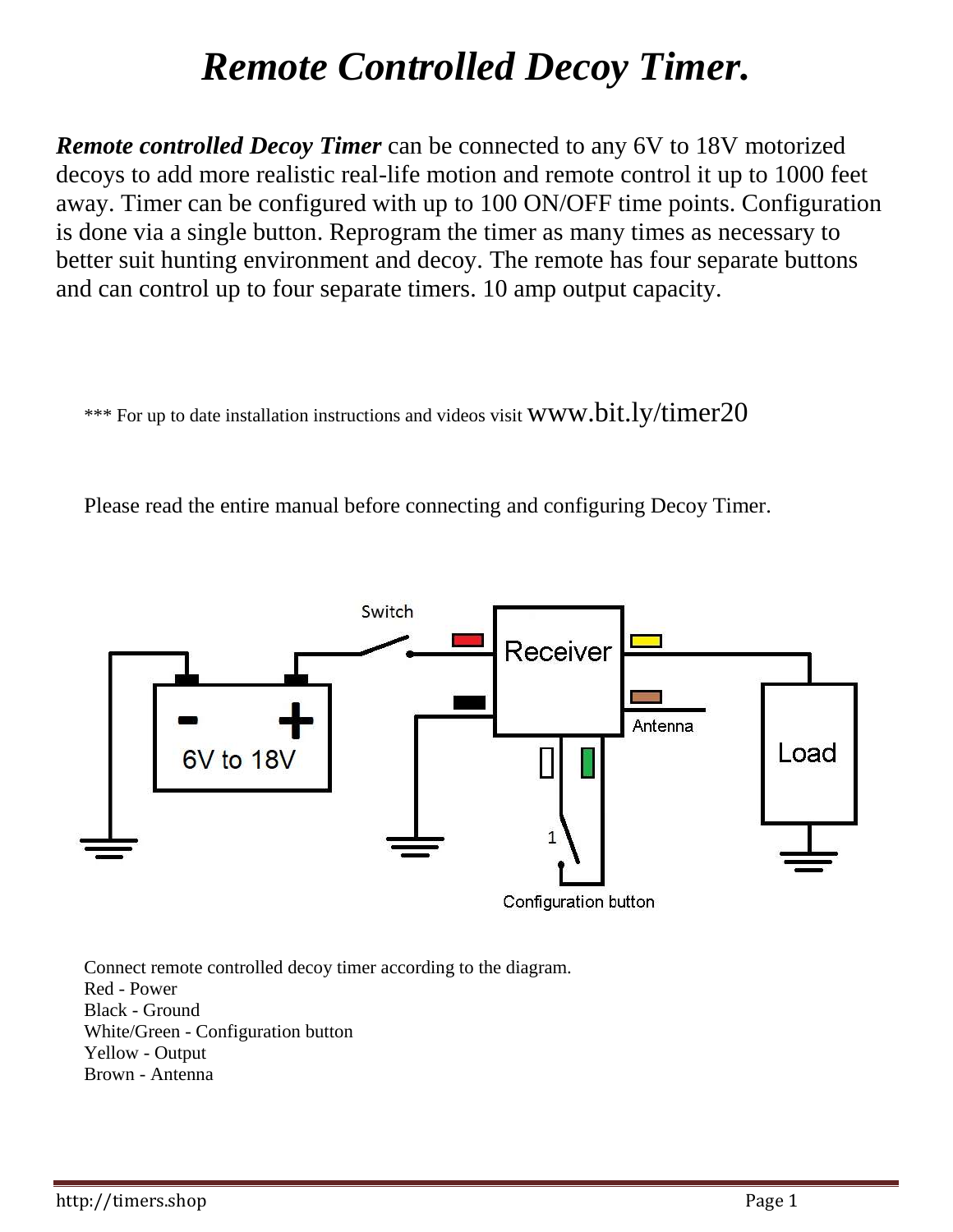## *Remote Controlled Decoy Timer.*

*Remote controlled Decoy Timer* can be connected to any 6V to 18V motorized decoys to add more realistic real-life motion and remote control it up to 1000 feet away. Timer can be configured with up to 100 ON/OFF time points. Configuration is done via a single button. Reprogram the timer as many times as necessary to better suit hunting environment and decoy. The remote has four separate buttons and can control up to four separate timers. 10 amp output capacity.

\*\*\* For up to date installation instructions and videos visit WWW.bit.ly/timer20

Please read the entire manual before connecting and configuring Decoy Timer.



Connect remote controlled decoy timer according to the diagram. Red - Power Black - Ground White/Green - Configuration button Yellow - Output Brown - Antenna